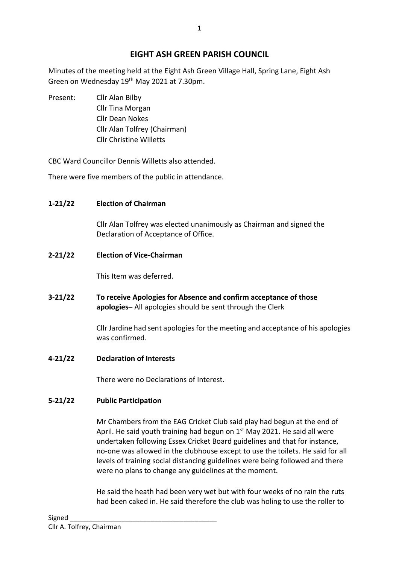# **EIGHT ASH GREEN PARISH COUNCIL**

Minutes of the meeting held at the Eight Ash Green Village Hall, Spring Lane, Eight Ash Green on Wednesday 19<sup>th</sup> May 2021 at 7.30pm.

Present: Cllr Alan Bilby Cllr Tina Morgan Cllr Dean Nokes Cllr Alan Tolfrey (Chairman) Cllr Christine Willetts

CBC Ward Councillor Dennis Willetts also attended.

There were five members of the public in attendance.

## **1-21/22 Election of Chairman**

Cllr Alan Tolfrey was elected unanimously as Chairman and signed the Declaration of Acceptance of Office.

**2-21/22 Election of Vice-Chairman**

This Item was deferred.

**3-21/22 To receive Apologies for Absence and confirm acceptance of those apologies–** All apologies should be sent through the Clerk

> Cllr Jardine had sent apologies for the meeting and acceptance of his apologies was confirmed.

**4-21/22 Declaration of Interests**

There were no Declarations of Interest.

# **5-21/22 Public Participation**

Mr Chambers from the EAG Cricket Club said play had begun at the end of April. He said youth training had begun on  $1<sup>st</sup>$  May 2021. He said all were undertaken following Essex Cricket Board guidelines and that for instance, no-one was allowed in the clubhouse except to use the toilets. He said for all levels of training social distancing guidelines were being followed and there were no plans to change any guidelines at the moment.

He said the heath had been very wet but with four weeks of no rain the ruts had been caked in. He said therefore the club was holing to use the roller to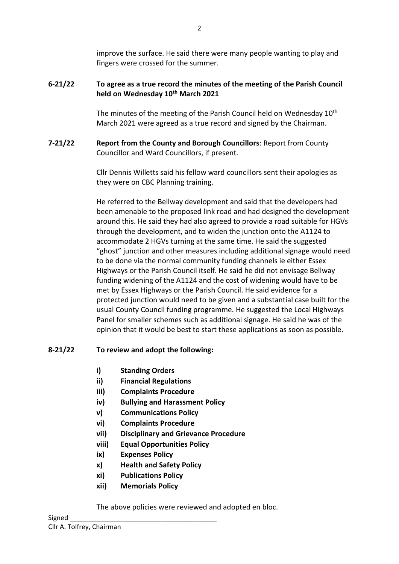improve the surface. He said there were many people wanting to play and fingers were crossed for the summer.

### **6-21/22 To agree as a true record the minutes of the meeting of the Parish Council held on Wednesday 10th March 2021**

The minutes of the meeting of the Parish Council held on Wednesday 10<sup>th</sup> March 2021 were agreed as a true record and signed by the Chairman.

**7-21/22 Report from the County and Borough Councillors**: Report from County Councillor and Ward Councillors, if present.

> Cllr Dennis Willetts said his fellow ward councillors sent their apologies as they were on CBC Planning training.

He referred to the Bellway development and said that the developers had been amenable to the proposed link road and had designed the development around this. He said they had also agreed to provide a road suitable for HGVs through the development, and to widen the junction onto the A1124 to accommodate 2 HGVs turning at the same time. He said the suggested "ghost" junction and other measures including additional signage would need to be done via the normal community funding channels ie either Essex Highways or the Parish Council itself. He said he did not envisage Bellway funding widening of the A1124 and the cost of widening would have to be met by Essex Highways or the Parish Council. He said evidence for a protected junction would need to be given and a substantial case built for the usual County Council funding programme. He suggested the Local Highways Panel for smaller schemes such as additional signage. He said he was of the opinion that it would be best to start these applications as soon as possible.

## **8-21/22 To review and adopt the following:**

- **i) Standing Orders**
- **ii) Financial Regulations**
- **iii) Complaints Procedure**
- **iv) Bullying and Harassment Policy**
- **v) Communications Policy**
- **vi) Complaints Procedure**
- **vii) Disciplinary and Grievance Procedure**
- **viii) Equal Opportunities Policy**
- **ix) Expenses Policy**
- **x) Health and Safety Policy**
- **xi) Publications Policy**
- **xii) Memorials Policy**

The above policies were reviewed and adopted en bloc.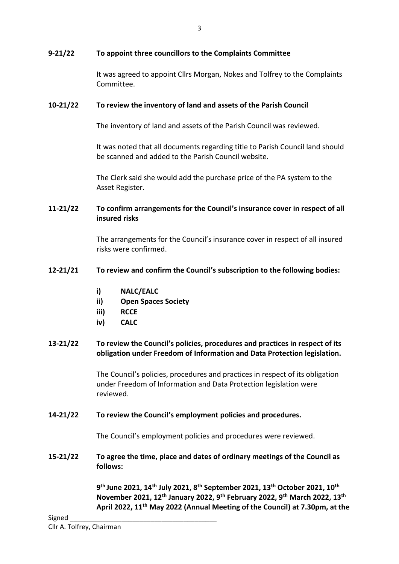### **9-21/22 To appoint three councillors to the Complaints Committee**

It was agreed to appoint Cllrs Morgan, Nokes and Tolfrey to the Complaints Committee.

#### **10-21/22 To review the inventory of land and assets of the Parish Council**

The inventory of land and assets of the Parish Council was reviewed.

It was noted that all documents regarding title to Parish Council land should be scanned and added to the Parish Council website.

The Clerk said she would add the purchase price of the PA system to the Asset Register.

### **11-21/22 To confirm arrangements for the Council's insurance cover in respect of all insured risks**

The arrangements for the Council's insurance cover in respect of all insured risks were confirmed.

#### **12-21/21 To review and confirm the Council's subscription to the following bodies:**

- **i) NALC/EALC**
- **ii) Open Spaces Society**
- **iii) RCCE**
- **iv) CALC**

### **13-21/22 To review the Council's policies, procedures and practices in respect of its obligation under Freedom of Information and Data Protection legislation.**

The Council's policies, procedures and practices in respect of its obligation under Freedom of Information and Data Protection legislation were reviewed.

#### **14-21/22 To review the Council's employment policies and procedures.**

The Council's employment policies and procedures were reviewed.

**15-21/22 To agree the time, place and dates of ordinary meetings of the Council as follows:**

> **9 th June 2021, 14th July 2021, 8th September 2021, 13th October 2021, 10th November 2021, 12th January 2022, 9th February 2022, 9th March 2022, 13th April 2022, 11th May 2022 (Annual Meeting of the Council) at 7.30pm, at the**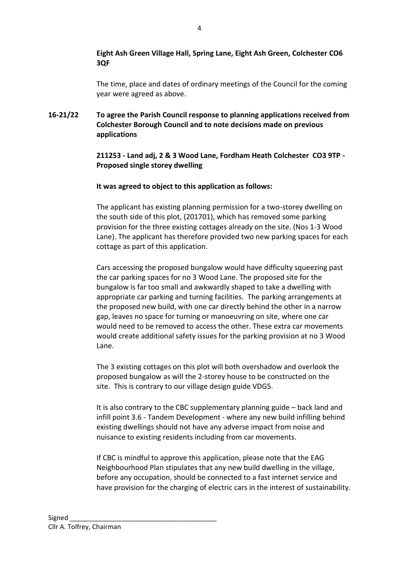### **Eight Ash Green Village Hall, Spring Lane, Eight Ash Green, Colchester CO6 3QF**

The time, place and dates of ordinary meetings of the Council for the coming year were agreed as above.

**16-21/22 To agree the Parish Council response to planning applications received from Colchester Borough Council and to note decisions made on previous applications**

> **211253 - Land adj, 2 & 3 Wood Lane, Fordham Heath Colchester CO3 9TP - Proposed single storey dwelling**

### **It was agreed to object to this application as follows:**

The applicant has existing planning permission for a two-storey dwelling on the south side of this plot, (201701), which has removed some parking provision for the three existing cottages already on the site. (Nos 1-3 Wood Lane). The applicant has therefore provided two new parking spaces for each cottage as part of this application.

Cars accessing the proposed bungalow would have difficulty squeezing past the car parking spaces for no 3 Wood Lane. The proposed site for the bungalow is far too small and awkwardly shaped to take a dwelling with appropriate car parking and turning facilities. The parking arrangements at the proposed new build, with one car directly behind the other in a narrow gap, leaves no space for turning or manoeuvring on site, where one car would need to be removed to access the other. These extra car movements would create additional safety issues for the parking provision at no 3 Wood Lane.

The 3 existing cottages on this plot will both overshadow and overlook the proposed bungalow as will the 2-storey house to be constructed on the site. This is contrary to our village design guide VDG5.

It is also contrary to the CBC supplementary planning guide – back land and infill point 3.6 - Tandem Development - where any new build infilling behind existing dwellings should not have any adverse impact from noise and nuisance to existing residents including from car movements.

If CBC is mindful to approve this application, please note that the EAG Neighbourhood Plan stipulates that any new build dwelling in the village, before any occupation, should be connected to a fast internet service and have provision for the charging of electric cars in the interest of sustainability.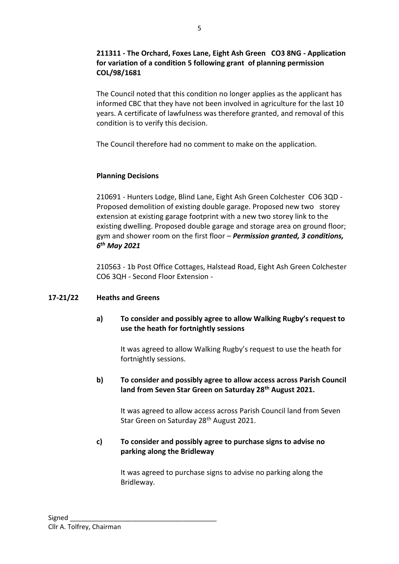### **211311 - The Orchard, Foxes Lane, Eight Ash Green CO3 8NG - Application for variation of a condition 5 following grant of planning permission COL/98/1681**

The Council noted that this condition no longer applies as the applicant has informed CBC that they have not been involved in agriculture for the last 10 years. A certificate of lawfulness was therefore granted, and removal of this condition is to verify this decision.

The Council therefore had no comment to make on the application.

### **Planning Decisions**

210691 - Hunters Lodge, Blind Lane, Eight Ash Green Colchester CO6 3QD - Proposed demolition of existing double garage. Proposed new two storey extension at existing garage footprint with a new two storey link to the existing dwelling. Proposed double garage and storage area on ground floor; gym and shower room on the first floor – *Permission granted, 3 conditions, 6 th May 2021*

210563 - 1b Post Office Cottages, Halstead Road, Eight Ash Green Colchester CO6 3QH - Second Floor Extension -

### **17-21/22 Heaths and Greens**

### **a) To consider and possibly agree to allow Walking Rugby's request to use the heath for fortnightly sessions**

It was agreed to allow Walking Rugby's request to use the heath for fortnightly sessions.

### **b) To consider and possibly agree to allow access across Parish Council land from Seven Star Green on Saturday 28th August 2021.**

It was agreed to allow access across Parish Council land from Seven Star Green on Saturday 28<sup>th</sup> August 2021.

### **c) To consider and possibly agree to purchase signs to advise no parking along the Bridleway**

It was agreed to purchase signs to advise no parking along the Bridleway.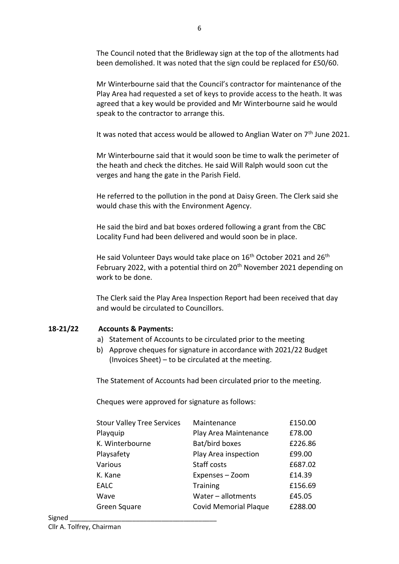The Council noted that the Bridleway sign at the top of the allotments had been demolished. It was noted that the sign could be replaced for £50/60.

Mr Winterbourne said that the Council's contractor for maintenance of the Play Area had requested a set of keys to provide access to the heath. It was agreed that a key would be provided and Mr Winterbourne said he would speak to the contractor to arrange this.

It was noted that access would be allowed to Anglian Water on  $7<sup>th</sup>$  June 2021.

Mr Winterbourne said that it would soon be time to walk the perimeter of the heath and check the ditches. He said Will Ralph would soon cut the verges and hang the gate in the Parish Field.

He referred to the pollution in the pond at Daisy Green. The Clerk said she would chase this with the Environment Agency.

He said the bird and bat boxes ordered following a grant from the CBC Locality Fund had been delivered and would soon be in place.

He said Volunteer Days would take place on 16<sup>th</sup> October 2021 and 26<sup>th</sup> February 2022, with a potential third on 20<sup>th</sup> November 2021 depending on work to be done.

The Clerk said the Play Area Inspection Report had been received that day and would be circulated to Councillors.

## **18-21/22 Accounts & Payments:**

- a) Statement of Accounts to be circulated prior to the meeting
- b) Approve cheques for signature in accordance with 2021/22 Budget (Invoices Sheet) – to be circulated at the meeting.

The Statement of Accounts had been circulated prior to the meeting.

Cheques were approved for signature as follows:

| <b>Stour Valley Tree Services</b> | Maintenance                  | £150.00 |
|-----------------------------------|------------------------------|---------|
| Playquip                          | Play Area Maintenance        | £78.00  |
| K. Winterbourne                   | Bat/bird boxes               | £226.86 |
| Playsafety                        | Play Area inspection         | £99.00  |
| Various                           | Staff costs                  | £687.02 |
| K. Kane                           | Expenses - Zoom              | £14.39  |
| <b>EALC</b>                       | <b>Training</b>              | £156.69 |
| Wave                              | Water $-$ allotments         | £45.05  |
| Green Square                      | <b>Covid Memorial Plaque</b> | £288.00 |
|                                   |                              |         |